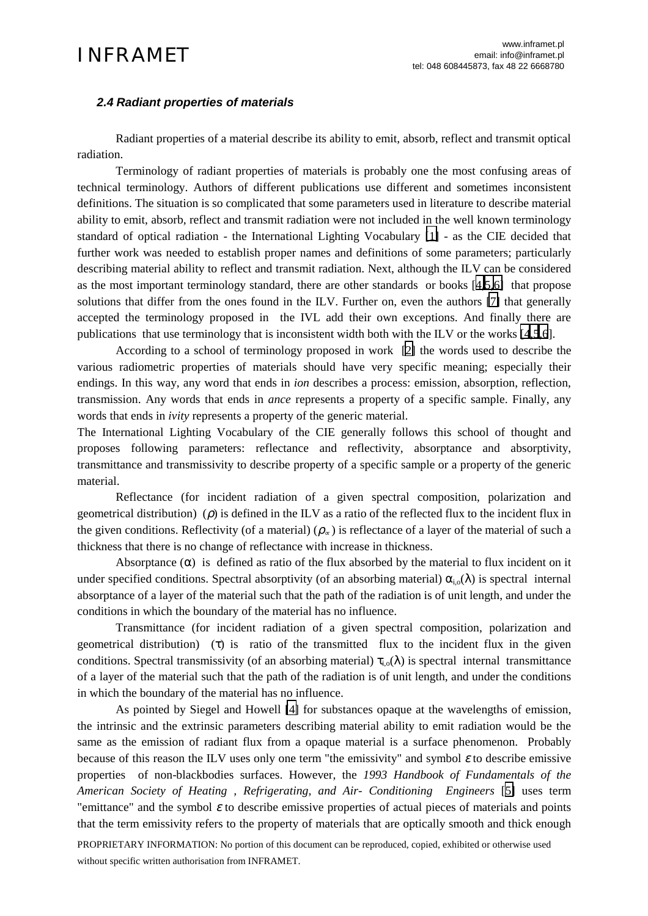## *2.4 Radiant properties of materials*

Radiant properties of a material describe its ability to emit, absorb, reflect and transmit optical radiation.

Terminology of radiant properties of materials is probably one the most confusing areas of technical terminology. Authors of different publications use different and sometimes inconsistent definitions. The situation is so complicated that some parameters used in literature to describe material ability to emit, absorb, reflect and transmit radiation were not included in the well known terminology standard of optical radiation - the International Lighting Vocabulary [\[1\]](#page-1-0) - as the CIE decided that further work was needed to establish proper names and definitions of some parameters; particularly describing material ability to reflect and transmit radiation. Next, although the ILV can be considered as the most important terminology standard, there are other standards or books [[4,5,6\]](#page-1-0) that propose solutions that differ from the ones found in the ILV. Further on, even the authors [\[7\]](#page-1-0) that generally accepted the terminology proposed in the IVL add their own exceptions. And finally there are publications that use terminology that is inconsistent width both with the ILV or the works [\[4,5,6](#page-1-0)].

According to a school of terminology proposed in work [\[2\]](#page-1-0) the words used to describe the various radiometric properties of materials should have very specific meaning; especially their endings. In this way, any word that ends in *ion* describes a process: emission, absorption, reflection, transmission. Any words that ends in *ance* represents a property of a specific sample. Finally, any words that ends in *ivity* represents a property of the generic material.

The International Lighting Vocabulary of the CIE generally follows this school of thought and proposes following parameters: reflectance and reflectivity, absorptance and absorptivity, transmittance and transmissivity to describe property of a specific sample or a property of the generic material.

Reflectance (for incident radiation of a given spectral composition, polarization and geometrical distribution) ( $\rho$ ) is defined in the ILV as a ratio of the reflected flux to the incident flux in the given conditions. Reflectivity (of a material) ( $\rho_{\infty}$ ) is reflectance of a layer of the material of such a thickness that there is no change of reflectance with increase in thickness.

Absorptance  $(\alpha)$  is defined as ratio of the flux absorbed by the material to flux incident on it under specified conditions. Spectral absorptivity (of an absorbing material)  $\alpha_i(\lambda)$  is spectral internal absorptance of a layer of the material such that the path of the radiation is of unit length, and under the conditions in which the boundary of the material has no influence.

Transmittance (for incident radiation of a given spectral composition, polarization and geometrical distribution) (τ) is ratio of the transmitted flux to the incident flux in the given conditions. Spectral transmissivity (of an absorbing material)  $\tau_i$ <sub>0</sub>( $\lambda$ ) is spectral internal transmittance of a layer of the material such that the path of the radiation is of unit length, and under the conditions in which the boundary of the material has no influence.

As pointed by Siegel and Howell [\[4\]](#page-1-0) for substances opaque at the wavelengths of emission, the intrinsic and the extrinsic parameters describing material ability to emit radiation would be the same as the emission of radiant flux from a opaque material is a surface phenomenon. Probably because of this reason the ILV uses only one term "the emissivity" and symbol  $\varepsilon$  to describe emissive properties of non-blackbodies surfaces. However, the *1993 Handbook of Fundamentals of the American Society of Heating , Refrigerating, and Air- Conditioning Engineers* [[5\]](#page-1-0) uses term "emittance" and the symbol  $\varepsilon$  to describe emissive properties of actual pieces of materials and points that the term emissivity refers to the property of materials that are optically smooth and thick enough

PROPRIETARY INFORMATION: No portion of this document can be reproduced, copied, exhibited or otherwise used without specific written authorisation from INFRAMET.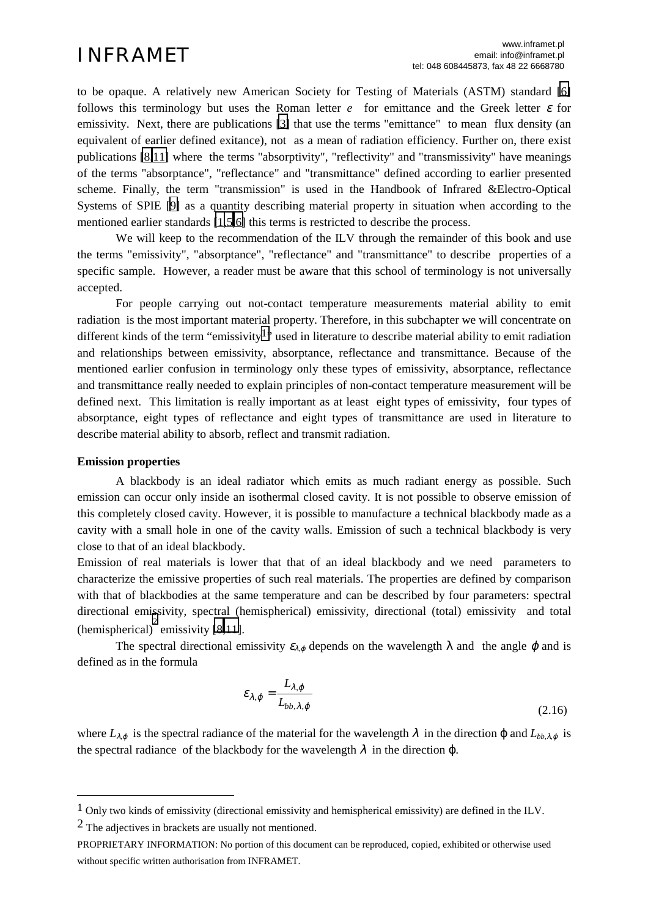<span id="page-1-0"></span>to be opaque. A relatively new American Society for Testing of Materials (ASTM) standard [6] follows this terminology but uses the Roman letter  $e$  for emittance and the Greek letter  $\varepsilon$  for emissivity. Next, there are publications [3] that use the terms "emittance" to mean flux density (an equivalent of earlier defined exitance), not as a mean of radiation efficiency. Further on, there exist publications [8,11] where the terms "absorptivity", "reflectivity" and "transmissivity" have meanings of the terms "absorptance", "reflectance" and "transmittance" defined according to earlier presented scheme. Finally, the term "transmission" is used in the Handbook of Infrared &Electro-Optical Systems of SPIE [9] as a quantity describing material property in situation when according to the mentioned earlier standards [1,5,6] this terms is restricted to describe the process.

We will keep to the recommendation of the ILV through the remainder of this book and use the terms "emissivity", "absorptance", "reflectance" and "transmittance" to describe properties of a specific sample. However, a reader must be aware that this school of terminology is not universally accepted.

For people carrying out not-contact temperature measurements material ability to emit radiation is the most important material property. Therefore, in this subchapter we will concentrate on different kinds of the term "emissivity<sup>1</sup>" used in literature to describe material ability to emit radiation and relationships between emissivity, absorptance, reflectance and transmittance. Because of the mentioned earlier confusion in terminology only these types of emissivity, absorptance, reflectance and transmittance really needed to explain principles of non-contact temperature measurement will be defined next. This limitation is really important as at least eight types of emissivity, four types of absorptance, eight types of reflectance and eight types of transmittance are used in literature to describe material ability to absorb, reflect and transmit radiation.

## **Emission properties**

 $\overline{a}$ 

A blackbody is an ideal radiator which emits as much radiant energy as possible. Such emission can occur only inside an isothermal closed cavity. It is not possible to observe emission of this completely closed cavity. However, it is possible to manufacture a technical blackbody made as a cavity with a small hole in one of the cavity walls. Emission of such a technical blackbody is very close to that of an ideal blackbody.

Emission of real materials is lower that that of an ideal blackbody and we need parameters to characterize the emissive properties of such real materials. The properties are defined by comparison with that of blackbodies at the same temperature and can be described by four parameters: spectral directional emissivity, spectral (hemispherical) emissivity, directional (total) emissivity and total (hemispherical) $\overrightarrow{a}$  emissivity [8,11].

The spectral directional emissivity  $\varepsilon_{\lambda,\varphi}$  depends on the wavelength  $\lambda$  and the angle  $\varphi$  and is defined as in the formula

$$
\varepsilon_{\lambda,\varphi} = \frac{L_{\lambda,\varphi}}{L_{bb,\lambda,\varphi}}
$$
 (2.16)

where  $L_{\lambda,\varphi}$  is the spectral radiance of the material for the wavelength  $\lambda$  in the direction  $\varphi$  and  $L_{bb\lambda,\varphi}$  is the spectral radiance of the blackbody for the wavelength  $\lambda$  in the direction  $\varphi$ .

2 The adjectives in brackets are usually not mentioned.

<sup>1</sup> Only two kinds of emissivity (directional emissivity and hemispherical emissivity) are defined in the ILV.

PROPRIETARY INFORMATION: No portion of this document can be reproduced, copied, exhibited or otherwise used without specific written authorisation from INFRAMET.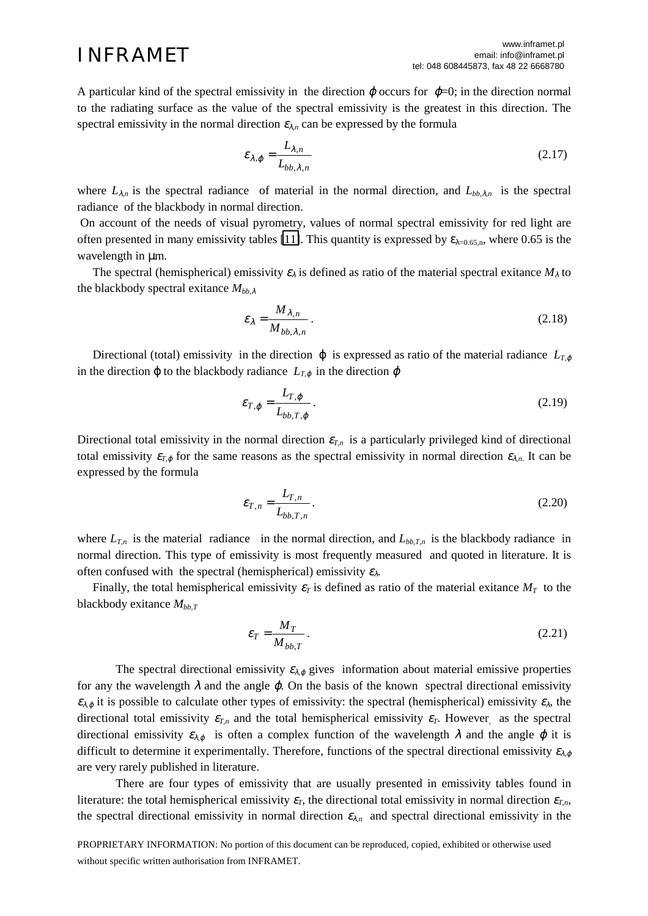A particular kind of the spectral emissivity in the direction  $\varphi$  occurs for  $\varphi$ =0; in the direction normal to the radiating surface as the value of the spectral emissivity is the greatest in this direction. The spectral emissivity in the normal direction  $\varepsilon_{\lambda,n}$  can be expressed by the formula

$$
\varepsilon_{\lambda,\varphi} = \frac{L_{\lambda,n}}{L_{bb,\lambda,n}}\tag{2.17}
$$

where  $L_{\lambda,n}$  is the spectral radiance of material in the normal direction, and  $L_{bb,\lambda,n}$  is the spectral radiance of the blackbody in normal direction.

 On account of the needs of visual pyrometry, values of normal spectral emissivity for red light are often presented in many emissivity tables [\[11\]](#page-1-0). This quantity is expressed by  $\varepsilon_{\lambda=0.65,n}$ , where 0.65 is the wavelength in  $\mu$ m.

The spectral (hemispherical) emissivity  $\varepsilon_{\lambda}$  is defined as ratio of the material spectral exitance  $M_{\lambda}$  to the blackbody spectral exitance *Mbb,*<sup>λ</sup>

$$
\varepsilon_{\lambda} = \frac{M_{\lambda,n}}{M_{bb,\lambda,n}}\,. \tag{2.18}
$$

Directional (total) emissivity in the direction  $\varphi$  is expressed as ratio of the material radiance  $L_{T,\varphi}$ in the direction  $\varphi$  to the blackbody radiance  $L_{T,\varphi}$  in the direction  $\varphi$ 

$$
\varepsilon_{T,\varphi} = \frac{L_{T,\varphi}}{L_{bb,T,\varphi}}\,. \tag{2.19}
$$

Directional total emissivity in the normal direction  $\varepsilon_{T,n}$  is a particularly privileged kind of directional total emissivity  $\varepsilon_{T,\varphi}$  for the same reasons as the spectral emissivity in normal direction  $\varepsilon_{\lambda,n}$ . It can be expressed by the formula

$$
\varepsilon_{T,n} = \frac{L_{T,n}}{L_{bb,T,n}}.
$$
\n(2.20)

where  $L_{T,n}$  is the material radiance in the normal direction, and  $L_{bb,T,n}$  is the blackbody radiance in normal direction. This type of emissivity is most frequently measured and quoted in literature. It is often confused with the spectral (hemispherical) emissivity  $\varepsilon_{\lambda}$ .

Finally, the total hemispherical emissivity  $\varepsilon_T$  is defined as ratio of the material exitance  $M_T$  to the blackbody exitance  $M_{bb, T}$ 

$$
\varepsilon_T = \frac{M_T}{M_{bb,T}}\,. \tag{2.21}
$$

The spectral directional emissivity  $\varepsilon_{\lambda,\varphi}$  gives information about material emissive properties for any the wavelength  $\lambda$  and the angle  $\varphi$ . On the basis of the known spectral directional emissivity  $\varepsilon_{\lambda,\varphi}$  it is possible to calculate other types of emissivity: the spectral (hemispherical) emissivity  $\varepsilon_{\lambda}$ , the directional total emissivity  $\varepsilon_{T,n}$  and the total hemispherical emissivity  $\varepsilon_T$ . However, as the spectral directional emissivity  $\epsilon_{\lambda\varphi}$  is often a complex function of the wavelength  $\lambda$  and the angle  $\varphi$  it is difficult to determine it experimentally. Therefore, functions of the spectral directional emissivity  $\varepsilon_{\lambda\varphi}$ are very rarely published in literature.

There are four types of emissivity that are usually presented in emissivity tables found in literature: the total hemispherical emissivity  $\varepsilon_T$ , the directional total emissivity in normal direction  $\varepsilon_{T,n}$ , the spectral directional emissivity in normal direction  $\varepsilon_{\lambda n}$  and spectral directional emissivity in the

PROPRIETARY INFORMATION: No portion of this document can be reproduced, copied, exhibited or otherwise used without specific written authorisation from INFRAMET.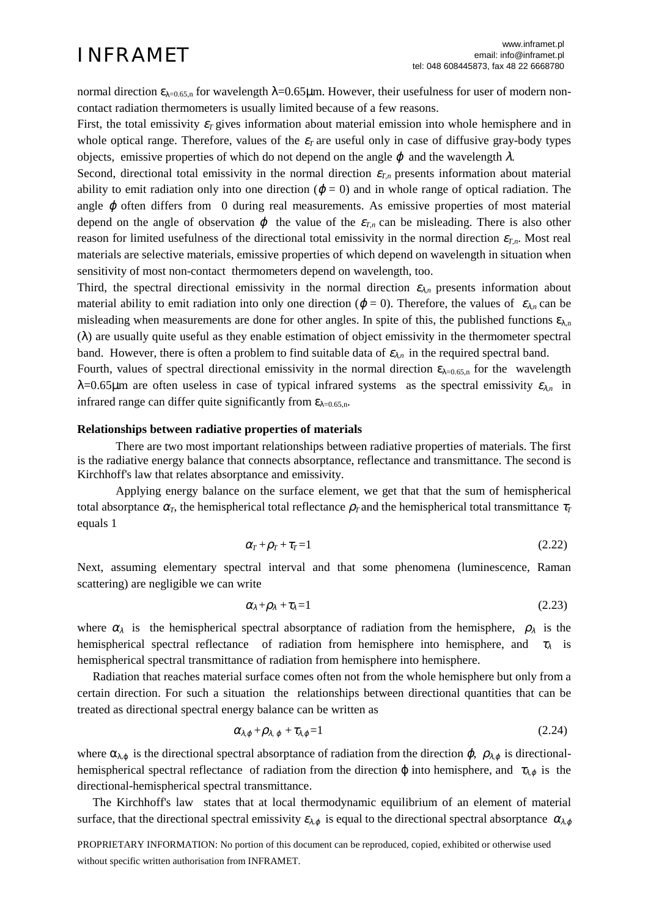normal direction  $ε_{\lambda=0.65,n}$  for wavelength  $\lambda=0.65\mu$ m. However, their usefulness for user of modern noncontact radiation thermometers is usually limited because of a few reasons.

First, the total emissivity  $\varepsilon_T$  gives information about material emission into whole hemisphere and in whole optical range. Therefore, values of the  $\varepsilon_T$  are useful only in case of diffusive gray-body types objects, emissive properties of which do not depend on the angle  $\varphi$  and the wavelength  $\lambda$ .

Second, directional total emissivity in the normal direction  $\varepsilon_{T,n}$  presents information about material ability to emit radiation only into one direction ( $\varphi = 0$ ) and in whole range of optical radiation. The angle  $\varphi$  often differs from 0 during real measurements. As emissive properties of most material depend on the angle of observation  $\varphi$  the value of the  $\varepsilon_{T,n}$  can be misleading. There is also other reason for limited usefulness of the directional total emissivity in the normal direction  $\varepsilon_{T,n}$ . Most real materials are selective materials, emissive properties of which depend on wavelength in situation when sensitivity of most non-contact thermometers depend on wavelength, too.

Third, the spectral directional emissivity in the normal direction  $\varepsilon_{\lambda n}$  presents information about material ability to emit radiation into only one direction ( $\varphi = 0$ ). Therefore, the values of  $\varepsilon_{\lambda n}$  can be misleading when measurements are done for other angles. In spite of this, the published functions  $\varepsilon_{\lambda,n}$ (λ) are usually quite useful as they enable estimation of object emissivity in the thermometer spectral band. However, there is often a problem to find suitable data of  $\varepsilon_{\lambda n}$  in the required spectral band.

Fourth, values of spectral directional emissivity in the normal direction  $\varepsilon_{\lambda=0.65,n}$  for the wavelength  $λ=0.65μm$  are often useless in case of typical infrared systems as the spectral emissivity  $ε<sub>λn</sub>$  in infrared range can differ quite significantly from  $\varepsilon_{\lambda=0.65,n}$ .

### **Relationships between radiative properties of materials**

There are two most important relationships between radiative properties of materials. The first is the radiative energy balance that connects absorptance, reflectance and transmittance. The second is Kirchhoff's law that relates absorptance and emissivity.

Applying energy balance on the surface element, we get that that the sum of hemispherical total absorptance  $\alpha_T$ , the hemispherical total reflectance  $\rho_T$  and the hemispherical total transmittance  $\tau_T$ equals 1

$$
\alpha_T + \rho_T + \tau_T = 1 \tag{2.22}
$$

Next, assuming elementary spectral interval and that some phenomena (luminescence, Raman scattering) are negligible we can write

$$
\alpha_{\lambda}+\rho_{\lambda}+\tau_{\lambda}=1\tag{2.23}
$$

where  $\alpha_{\lambda}$  is the hemispherical spectral absorptance of radiation from the hemisphere,  $\rho_{\lambda}$  is the hemispherical spectral reflectance of radiation from hemisphere into hemisphere, and  $\tau_{\lambda}$  is hemispherical spectral transmittance of radiation from hemisphere into hemisphere.

 Radiation that reaches material surface comes often not from the whole hemisphere but only from a certain direction. For such a situation the relationships between directional quantities that can be treated as directional spectral energy balance can be written as

$$
\alpha_{\lambda,\varphi} + \rho_{\lambda,\varphi} + \tau_{\lambda,\varphi} = 1 \tag{2.24}
$$

where  $\alpha_{\lambda,\varphi}$  is the directional spectral absorptance of radiation from the direction  $\varphi$ ,  $\rho_{\lambda,\varphi}$  is directionalhemispherical spectral reflectance of radiation from the direction  $\varphi$  into hemisphere, and  $\tau_{\lambda,\varphi}$  is the directional-hemispherical spectral transmittance.

 The Kirchhoff's law states that at local thermodynamic equilibrium of an element of material surface, that the directional spectral emissivity  $\varepsilon_{\lambda,\varphi}$  is equal to the directional spectral absorptance  $\alpha_{\lambda,\varphi}$ 

PROPRIETARY INFORMATION: No portion of this document can be reproduced, copied, exhibited or otherwise used without specific written authorisation from INFRAMET.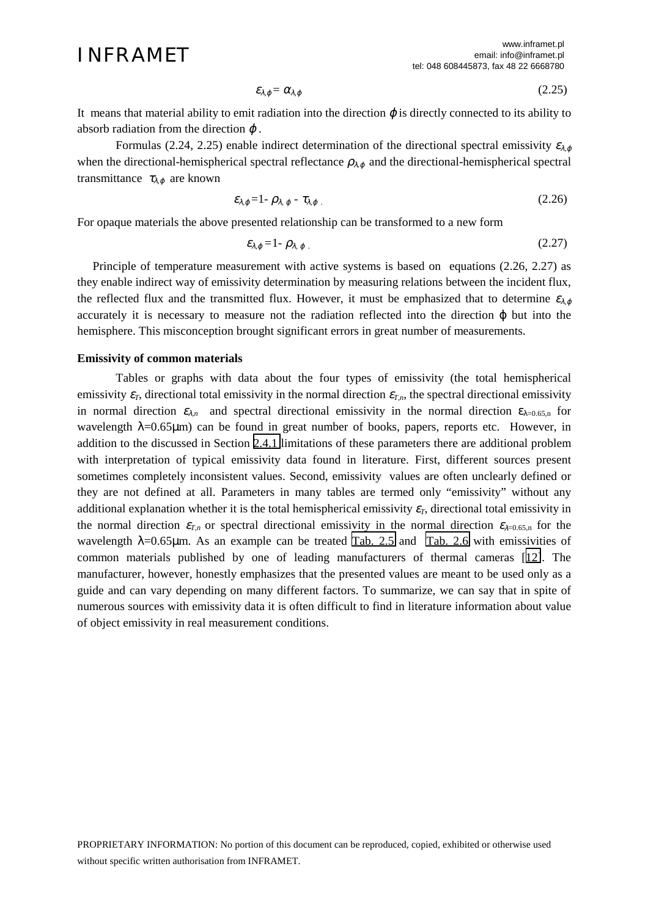$$
\varepsilon_{\lambda,\varphi} = \alpha_{\lambda,\varphi} \tag{2.25}
$$

It means that material ability to emit radiation into the direction  $\varphi$  is directly connected to its ability to absorb radiation from the direction  $\varphi$ .

Formulas (2.24, 2.25) enable indirect determination of the directional spectral emissivity  $\varepsilon_{\lambda,\varphi}$ when the directional-hemispherical spectral reflectance  $\rho_{\lambda,\varphi}$  and the directional-hemispherical spectral transmittance  $\tau_{\lambda,\varphi}$  are known

$$
\varepsilon_{\lambda,\varphi} = 1 - \rho_{\lambda,\varphi} - \tau_{\lambda,\varphi} \tag{2.26}
$$

For opaque materials the above presented relationship can be transformed to a new form

$$
\varepsilon_{\lambda,\varphi} = 1 - \rho_{\lambda,\varphi} \tag{2.27}
$$

 Principle of temperature measurement with active systems is based on equations (2.26, 2.27) as they enable indirect way of emissivity determination by measuring relations between the incident flux, the reflected flux and the transmitted flux. However, it must be emphasized that to determine  $\epsilon_{\lambda,\varphi}$ accurately it is necessary to measure not the radiation reflected into the direction ϕ but into the hemisphere. This misconception brought significant errors in great number of measurements.

### **Emissivity of common materials**

Tables or graphs with data about the four types of emissivity (the total hemispherical emissivity  $\varepsilon_T$ , directional total emissivity in the normal direction  $\varepsilon_{T,n}$ , the spectral directional emissivity in normal direction  $\varepsilon_{\lambda n}$  and spectral directional emissivity in the normal direction  $\varepsilon_{\lambda=0.65,n}$  for wavelength  $\lambda = 0.65 \mu m$ ) can be found in great number of books, papers, reports etc. However, in addition to the discussed in Section [2.4.1](#page-1-0) limitations of these parameters there are additional problem with interpretation of typical emissivity data found in literature. First, different sources present sometimes completely inconsistent values. Second, emissivity values are often unclearly defined or they are not defined at all. Parameters in many tables are termed only "emissivity" without any additional explanation whether it is the total hemispherical emissivity  $\varepsilon_T$ , directional total emissivity in the normal direction  $\varepsilon_{T,n}$  or spectral directional emissivity in the normal direction  $\varepsilon_{\lambda=0.65,n}$  for the wavelength  $\lambda$ =0.65µm. As an example can be treated [Tab. 2.5](#page-5-0) and [Tab. 2.6](#page-6-0) with emissivities of common materials published by one of leading manufacturers of thermal cameras [[12\]](#page-1-0). The manufacturer, however, honestly emphasizes that the presented values are meant to be used only as a guide and can vary depending on many different factors. To summarize, we can say that in spite of numerous sources with emissivity data it is often difficult to find in literature information about value of object emissivity in real measurement conditions.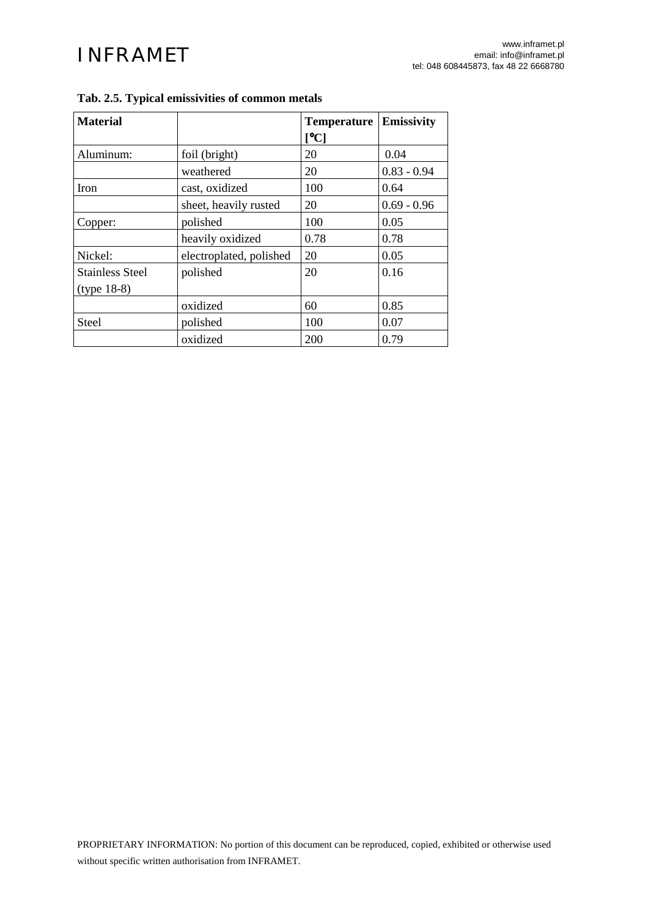| <b>Material</b>        |                         | <b>Temperature</b>                           | Emissivity    |
|------------------------|-------------------------|----------------------------------------------|---------------|
|                        |                         | $\mathsf{I}^\mathsf{o}\mathbf{C} \mathsf{I}$ |               |
| Aluminum:              | foil (bright)           | 20                                           | 0.04          |
|                        | weathered               | 20                                           | $0.83 - 0.94$ |
| Iron                   | cast, oxidized          | 100                                          | 0.64          |
|                        | sheet, heavily rusted   | 20                                           | $0.69 - 0.96$ |
| Copper:                | polished                | 100                                          | 0.05          |
|                        | heavily oxidized        | 0.78                                         | 0.78          |
| Nickel:                | electroplated, polished | 20                                           | 0.05          |
| <b>Stainless Steel</b> | polished                | 20                                           | 0.16          |
| $(type 18-8)$          |                         |                                              |               |
|                        | oxidized                | 60                                           | 0.85          |
| Steel                  | polished                | 100                                          | 0.07          |
|                        | oxidized                | 200                                          | 0.79          |

# <span id="page-5-0"></span>**Tab. 2.5. Typical emissivities of common metals**